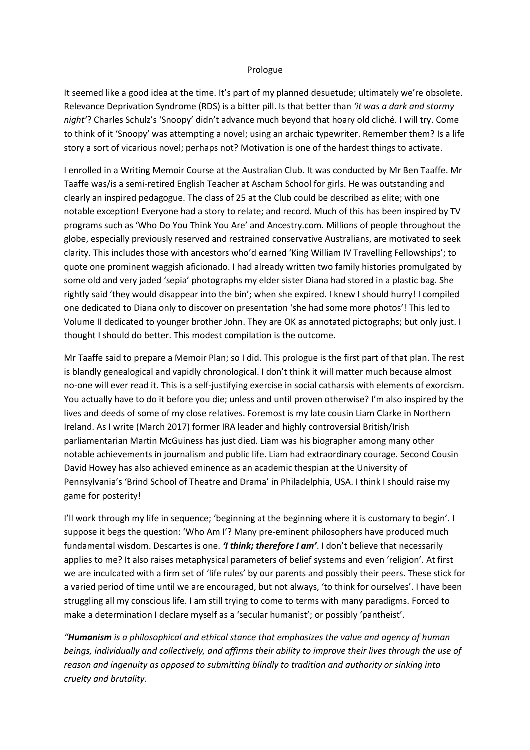## Prologue

It seemed like a good idea at the time. It's part of my planned desuetude; ultimately we're obsolete. Relevance Deprivation Syndrome (RDS) is a bitter pill. Is that better than *'it was a dark and stormy night'*? Charles Schulz's 'Snoopy' didn't advance much beyond that hoary old cliché. I will try. Come to think of it 'Snoopy' was attempting a novel; using an archaic typewriter. Remember them? Is a life story a sort of vicarious novel; perhaps not? Motivation is one of the hardest things to activate.

I enrolled in a Writing Memoir Course at the Australian Club. It was conducted by Mr Ben Taaffe. Mr Taaffe was/is a semi-retired English Teacher at Ascham School for girls. He was outstanding and clearly an inspired pedagogue. The class of 25 at the Club could be described as elite; with one notable exception! Everyone had a story to relate; and record. Much of this has been inspired by TV programs such as 'Who Do You Think You Are' and Ancestry.com. Millions of people throughout the globe, especially previously reserved and restrained conservative Australians, are motivated to seek clarity. This includes those with ancestors who'd earned 'King William IV Travelling Fellowships'; to quote one prominent waggish aficionado. I had already written two family histories promulgated by some old and very jaded 'sepia' photographs my elder sister Diana had stored in a plastic bag. She rightly said 'they would disappear into the bin'; when she expired. I knew I should hurry! I compiled one dedicated to Diana only to discover on presentation 'she had some more photos'! This led to Volume II dedicated to younger brother John. They are OK as annotated pictographs; but only just. I thought I should do better. This modest compilation is the outcome.

Mr Taaffe said to prepare a Memoir Plan; so I did. This prologue is the first part of that plan. The rest is blandly genealogical and vapidly chronological. I don't think it will matter much because almost no-one will ever read it. This is a self-justifying exercise in social catharsis with elements of exorcism. You actually have to do it before you die; unless and until proven otherwise? I'm also inspired by the lives and deeds of some of my close relatives. Foremost is my late cousin Liam Clarke in Northern Ireland. As I write (March 2017) former IRA leader and highly controversial British/Irish parliamentarian Martin McGuiness has just died. Liam was his biographer among many other notable achievements in journalism and public life. Liam had extraordinary courage. Second Cousin David Howey has also achieved eminence as an academic thespian at the University of Pennsylvania's 'Brind School of Theatre and Drama' in Philadelphia, USA. I think I should raise my game for posterity!

I'll work through my life in sequence; 'beginning at the beginning where it is customary to begin'. I suppose it begs the question: 'Who Am I'? Many pre-eminent philosophers have produced much fundamental wisdom. Descartes is one. *'I think; therefore I am'*. I don't believe that necessarily applies to me? It also raises metaphysical parameters of belief systems and even 'religion'. At first we are inculcated with a firm set of 'life rules' by our parents and possibly their peers. These stick for a varied period of time until we are encouraged, but not always, 'to think for ourselves'. I have been struggling all my conscious life. I am still trying to come to terms with many paradigms. Forced to make a determination I declare myself as a 'secular humanist'; or possibly 'pantheist'.

*"Humanism is a philosophical and ethical stance that emphasizes the value and agency of human beings, individually and collectively, and affirms their ability to improve their lives through the use of reason and ingenuity as opposed to submitting blindly to tradition and authority or sinking into cruelty and brutality.*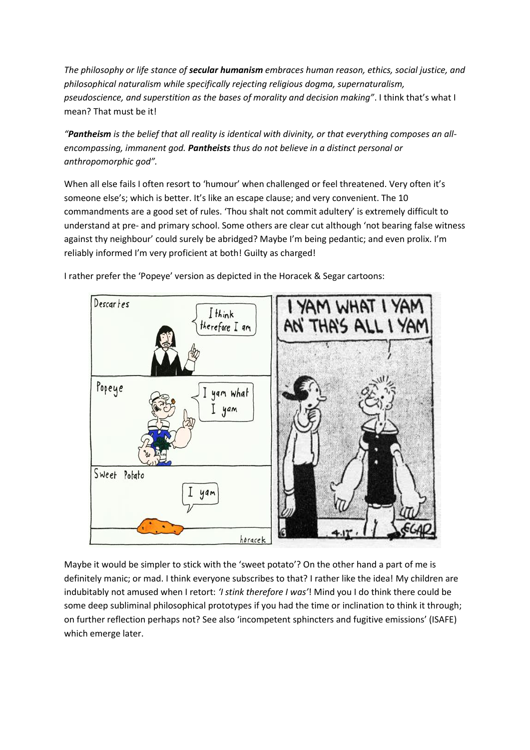*The philosophy or life stance of secular humanism embraces human reason, ethics, social justice, and philosophical naturalism while specifically rejecting religious dogma, supernaturalism, pseudoscience, and superstition as the bases of morality and decision making"*. I think that's what I mean? That must be it!

*"Pantheism is the belief that all reality is identical with divinity, or that everything composes an allencompassing, immanent god. Pantheists thus do not believe in a distinct personal or anthropomorphic god".*

When all else fails I often resort to 'humour' when challenged or feel threatened. Very often it's someone else's; which is better. It's like an escape clause; and very convenient. The 10 commandments are a good set of rules. 'Thou shalt not commit adultery' is extremely difficult to understand at pre- and primary school. Some others are clear cut although 'not bearing false witness against thy neighbour' could surely be abridged? Maybe I'm being pedantic; and even prolix. I'm reliably informed I'm very proficient at both! Guilty as charged!



I rather prefer the 'Popeye' version as depicted in the Horacek & Segar cartoons:

Maybe it would be simpler to stick with the 'sweet potato'? On the other hand a part of me is definitely manic; or mad. I think everyone subscribes to that? I rather like the idea! My children are indubitably not amused when I retort: *'I stink therefore I was'*! Mind you I do think there could be some deep subliminal philosophical prototypes if you had the time or inclination to think it through; on further reflection perhaps not? See also 'incompetent sphincters and fugitive emissions' (ISAFE) which emerge later.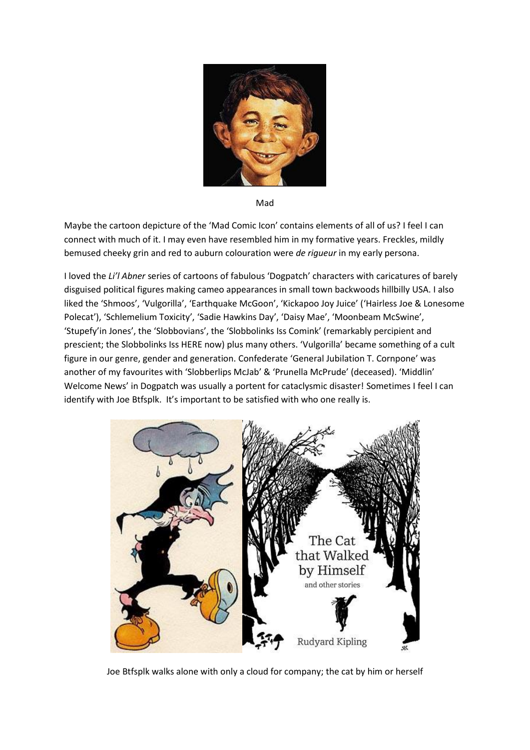

Mad

Maybe the cartoon depicture of the 'Mad Comic Icon' contains elements of all of us? I feel I can connect with much of it. I may even have resembled him in my formative years. Freckles, mildly bemused cheeky grin and red to auburn colouration were *de rigueur* in my early persona.

I loved the *Li'l Abner* series of cartoons of fabulous 'Dogpatch' characters with caricatures of barely disguised political figures making cameo appearances in small town backwoods hillbilly USA. I also liked the 'Shmoos', 'Vulgorilla', 'Earthquake McGoon', 'Kickapoo Joy Juice' ('Hairless Joe & Lonesome Polecat'), 'Schlemelium Toxicity', 'Sadie Hawkins Day', 'Daisy Mae', 'Moonbeam McSwine', 'Stupefy'in Jones', the 'Slobbovians', the 'Slobbolinks Iss Comink' (remarkably percipient and prescient; the Slobbolinks Iss HERE now) plus many others. 'Vulgorilla' became something of a cult figure in our genre, gender and generation. Confederate 'General Jubilation T. Cornpone' was another of my favourites with 'Slobberlips McJab' & 'Prunella McPrude' (deceased). 'Middlin' Welcome News' in Dogpatch was usually a portent for cataclysmic disaster! Sometimes I feel I can identify with Joe Btfsplk. It's important to be satisfied with who one really is.



Joe Btfsplk walks alone with only a cloud for company; the cat by him or herself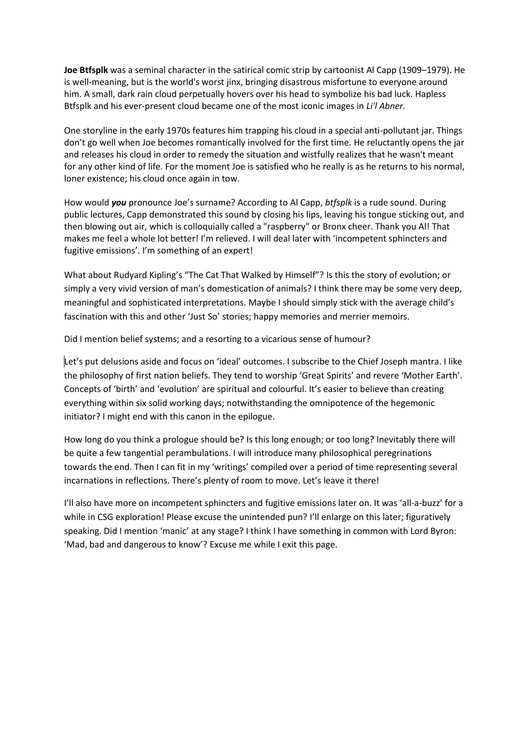**Joe Btfsplk** was a seminal character in the [satirical](https://en.wikipedia.org/wiki/Satirical) [comic strip](https://en.wikipedia.org/wiki/Comic_strip) b[y cartoonist](https://en.wikipedia.org/wiki/Cartoonist) Al Capp (1909–1979). He is well-meaning, but is the world's wors[t jinx,](https://en.wikipedia.org/wiki/Jinx) bringing disastrous misfortune to everyone around him. A small, dark rain cloud perpetually hovers over his head to symbolize his bad luck. Hapless Btfsplk and his ever-present cloud became one of the most iconic images in *Li'l Abner.*

One storyline in the early 1970s features him trapping his cloud in a special anti-pollutant jar. Things don't go well when Joe becomes romantically involved for the first time. He reluctantly opens the jar and releases his cloud in order to remedy the situation and wistfully realizes that he wasn't meant for any other kind of life. For the moment Joe is satisfied who he really is as he returns to his normal, loner existence; his cloud once again in tow.

How would *you* pronounce Joe's surname? According to Al Capp, *btfsplk* is a rude sound. During public lectures, Capp demonstrated this sound by closing his lips, leaving his tongue sticking out, and then blowing out air, which is colloquially called a "raspberry" o[r Bronx cheer.](https://en.wikipedia.org/wiki/Bronx_cheer_(gesture)) Thank you Al! That makes me feel a whole lot better! I'm relieved. I will deal later with 'incompetent sphincters and fugitive emissions'. I'm something of an expert!

What about Rudyard Kipling's "The Cat That Walked by Himself"? Is this the story of evolution; or simply a very vivid version of man's domestication of animals? I think there may be some very deep, meaningful and sophisticated interpretations. Maybe I should simply stick with the average child's fascination with this and other 'Just So' stories; happy memories and merrier memoirs.

Did I mention belief systems; and a resorting to a vicarious sense of humour?

Let's put delusions aside and focus on 'ideal' outcomes. I subscribe to the Chief Joseph mantra. I like the philosophy of first nation beliefs. They tend to worship 'Great Spirits' and revere 'Mother Earth'. Concepts of 'birth' and 'evolution' are spiritual and colourful. It's easier to believe than creating everything within six solid working days; notwithstanding the omnipotence of the hegemonic initiator? I might end with this canon in the epilogue.

How long do you think a prologue should be? Is this long enough; or too long? Inevitably there will be quite a few tangential perambulations. I will introduce many philosophical peregrinations towards the end. Then I can fit in my 'writings' compiled over a period of time representing several incarnations in reflections. There's plenty of room to move. Let's leave it there!

I'll also have more on incompetent sphincters and fugitive emissions later on. It was 'all-a-buzz' for a while in CSG exploration! Please excuse the unintended pun? I'll enlarge on this later; figuratively speaking. Did I mention 'manic' at any stage? I think I have something in common with Lord Byron: 'Mad, bad and dangerous to know'? Excuse me while I exit this page.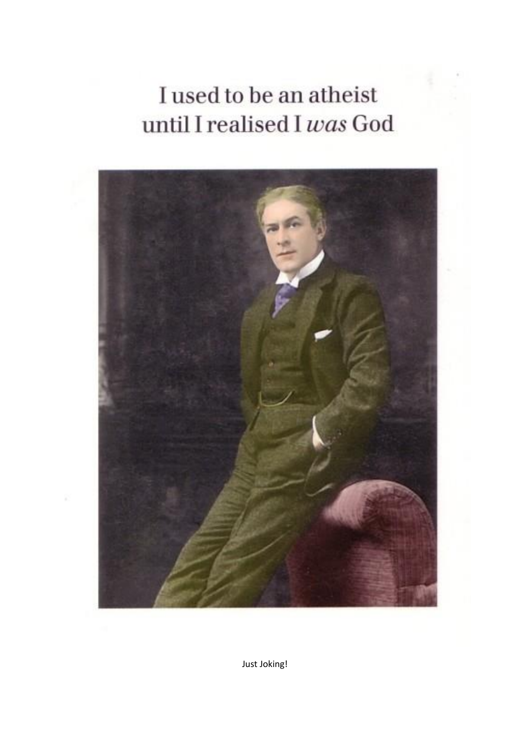## I used to be an atheist until I realised I was God



Just Joking!